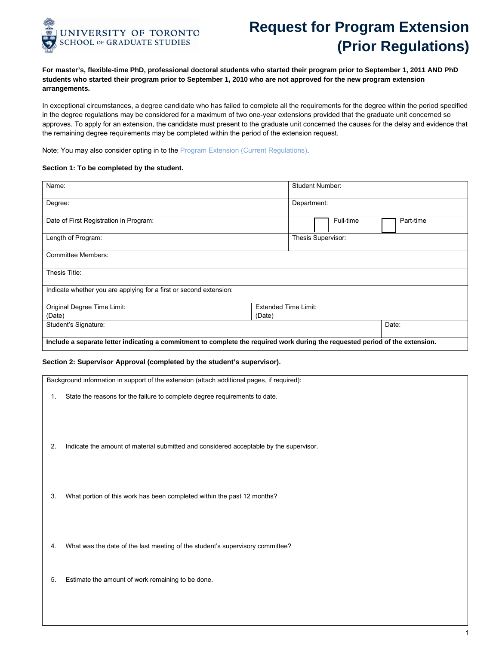

## **Request for Program Extension (Prior Regulations)**

**For master's, flexible-time PhD, professional doctoral students who started their program prior to September 1, 2011 AND PhD students who started their program prior to September 1, 2010 who are not approved for the new program extension arrangements.**

In exceptional circumstances, a degree candidate who has failed to complete all the requirements for the degree within the period specified in the degree regulations may be considered for a maximum of two one-year extensions provided that the graduate unit concerned so approves. To apply for an extension, the candidate must present to the graduate unit concerned the causes for the delay and evidence that the remaining degree requirements may be completed within the period of the extension request.

Note: You may also consider opting in to the [Program Extension \(Current Regulations\).](http://www.sgs.utoronto.ca/Documents/Program+Extension+Current+Regulations.pdf)

## **Section 1: To be completed by the student.**

| Name:                                                                                                                         | Student Number:             |  |  |  |  |
|-------------------------------------------------------------------------------------------------------------------------------|-----------------------------|--|--|--|--|
| Degree:                                                                                                                       | Department:                 |  |  |  |  |
| Date of First Registration in Program:                                                                                        | Full-time<br>Part-time      |  |  |  |  |
| Length of Program:                                                                                                            | Thesis Supervisor:          |  |  |  |  |
| <b>Committee Members:</b>                                                                                                     |                             |  |  |  |  |
| Thesis Title:                                                                                                                 |                             |  |  |  |  |
| Indicate whether you are applying for a first or second extension:                                                            |                             |  |  |  |  |
| Original Degree Time Limit:                                                                                                   | <b>Extended Time Limit:</b> |  |  |  |  |
| (Date)                                                                                                                        | (Date)                      |  |  |  |  |
| Student's Signature:                                                                                                          | Date:                       |  |  |  |  |
| Include a separate letter indicating a commitment to complete the required work during the requested period of the extension. |                             |  |  |  |  |

## **Section 2: Supervisor Approval (completed by the student's supervisor).**

Background information in support of the extension (attach additional pages, if required):

- 1. State the reasons for the failure to complete degree requirements to date.
- 2. Indicate the amount of material submitted and considered acceptable by the supervisor.
- 3. What portion of this work has been completed within the past 12 months?
- 4. What was the date of the last meeting of the student's supervisory committee?
- 5. Estimate the amount of work remaining to be done.